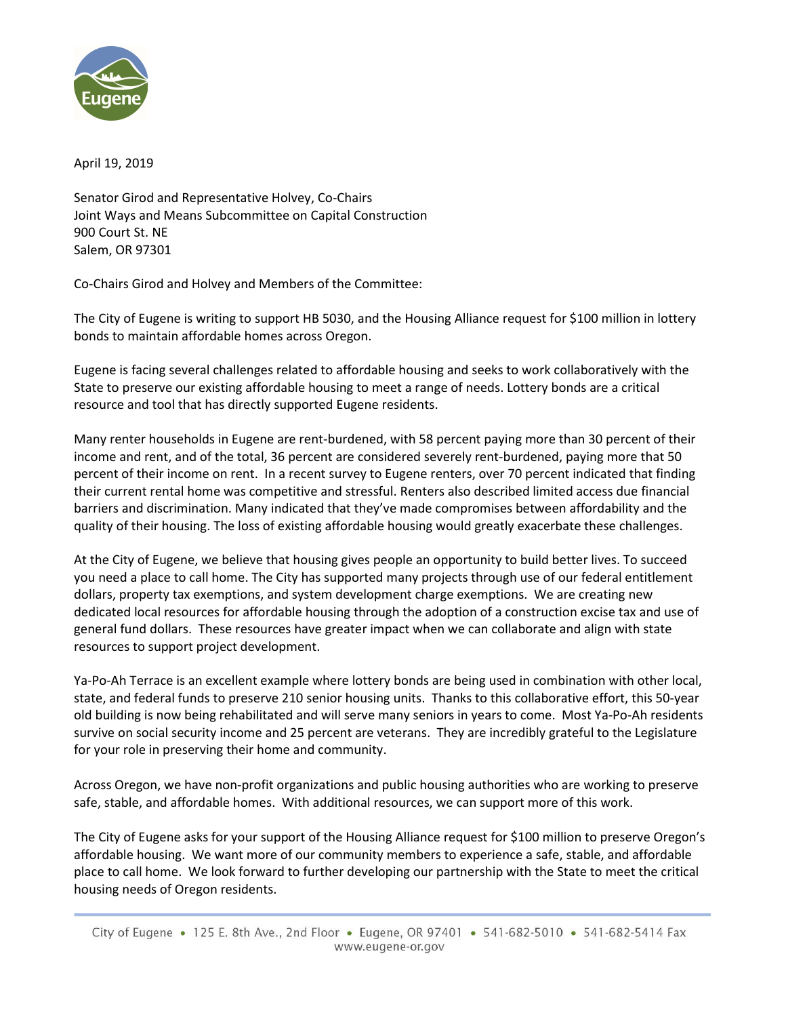

April 19, 2019

Senator Girod and Representative Holvey, Co-Chairs Joint Ways and Means Subcommittee on Capital Construction 900 Court St. NE Salem, OR 97301

Co-Chairs Girod and Holvey and Members of the Committee:

The City of Eugene is writing to support HB 5030, and the Housing Alliance request for \$100 million in lottery bonds to maintain affordable homes across Oregon.

Eugene is facing several challenges related to affordable housing and seeks to work collaboratively with the State to preserve our existing affordable housing to meet a range of needs. Lottery bonds are a critical resource and tool that has directly supported Eugene residents.

Many renter households in Eugene are rent-burdened, with 58 percent paying more than 30 percent of their income and rent, and of the total, 36 percent are considered severely rent-burdened, paying more that 50 percent of their income on rent. In a recent survey to Eugene renters, over 70 percent indicated that finding their current rental home was competitive and stressful. Renters also described limited access due financial barriers and discrimination. Many indicated that they've made compromises between affordability and the quality of their housing. The loss of existing affordable housing would greatly exacerbate these challenges.

At the City of Eugene, we believe that housing gives people an opportunity to build better lives. To succeed you need a place to call home. The City has supported many projects through use of our federal entitlement dollars, property tax exemptions, and system development charge exemptions. We are creating new dedicated local resources for affordable housing through the adoption of a construction excise tax and use of general fund dollars. These resources have greater impact when we can collaborate and align with state resources to support project development.

Ya-Po-Ah Terrace is an excellent example where lottery bonds are being used in combination with other local, state, and federal funds to preserve 210 senior housing units. Thanks to this collaborative effort, this 50-year old building is now being rehabilitated and will serve many seniors in years to come. Most Ya-Po-Ah residents survive on social security income and 25 percent are veterans. They are incredibly grateful to the Legislature for your role in preserving their home and community.

Across Oregon, we have non-profit organizations and public housing authorities who are working to preserve safe, stable, and affordable homes. With additional resources, we can support more of this work.

The City of Eugene asks for your support of the Housing Alliance request for \$100 million to preserve Oregon's affordable housing. We want more of our community members to experience a safe, stable, and affordable place to call home. We look forward to further developing our partnership with the State to meet the critical housing needs of Oregon residents.